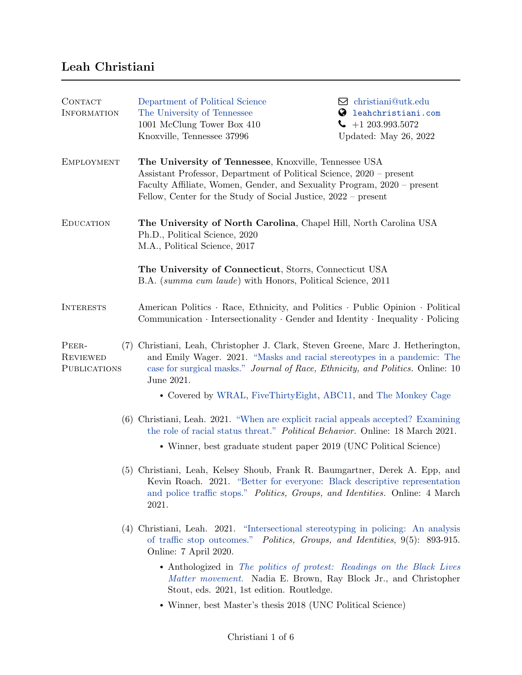## Leah Christiani

| CONTACT<br><b>INFORMATION</b>            | Department of Political Science<br>The University of Tennessee<br>1001 McClung Tower Box 410<br>Knoxville, Tennessee 37996                                                                                                                                                                                                                                                                                                                                 | $\boxtimes$ christiani@utk.edu<br>leahchristiani.com<br>Ø<br>$-1203.993.5072$<br>Updated: May 26, 2022 |
|------------------------------------------|------------------------------------------------------------------------------------------------------------------------------------------------------------------------------------------------------------------------------------------------------------------------------------------------------------------------------------------------------------------------------------------------------------------------------------------------------------|--------------------------------------------------------------------------------------------------------|
| <b>EMPLOYMENT</b>                        | The University of Tennessee, Knoxville, Tennessee USA<br>Assistant Professor, Department of Political Science, 2020 – present<br>Faculty Affiliate, Women, Gender, and Sexuality Program, 2020 – present<br>Fellow, Center for the Study of Social Justice, 2022 – present                                                                                                                                                                                 |                                                                                                        |
| <b>EDUCATION</b>                         | The University of North Carolina, Chapel Hill, North Carolina USA<br>Ph.D., Political Science, 2020<br>M.A., Political Science, 2017                                                                                                                                                                                                                                                                                                                       |                                                                                                        |
|                                          | The University of Connecticut, Storrs, Connecticut USA<br>B.A. <i>(summa cum laude)</i> with Honors, Political Science, 2011                                                                                                                                                                                                                                                                                                                               |                                                                                                        |
| <b>INTERESTS</b>                         | American Politics · Race, Ethnicity, and Politics · Public Opinion · Political<br>Communication $\cdot$ Intersectionality $\cdot$ Gender and Identity $\cdot$ Inequality $\cdot$ Policing                                                                                                                                                                                                                                                                  |                                                                                                        |
| PEER-<br><b>REVIEWED</b><br>PUBLICATIONS | (7) Christiani, Leah, Christopher J. Clark, Steven Greene, Marc J. Hetherington,<br>and Emily Wager. 2021. "Masks and racial stereotypes in a pandemic: The<br>case for surgical masks." Journal of Race, Ethnicity, and Politics. Online: 10<br>June 2021.                                                                                                                                                                                                |                                                                                                        |
|                                          | • Covered by WRAL, FiveThirtyEight, ABC11, and The Monkey Cage                                                                                                                                                                                                                                                                                                                                                                                             |                                                                                                        |
|                                          | (6) Christiani, Leah. 2021. "When are explicit racial appeals accepted? Examining<br>the role of racial status threat." <i>Political Behavior</i> . Online: 18 March 2021.                                                                                                                                                                                                                                                                                 |                                                                                                        |
|                                          | • Winner, best graduate student paper 2019 (UNC Political Science)                                                                                                                                                                                                                                                                                                                                                                                         |                                                                                                        |
|                                          | (5) Christiani, Leah, Kelsey Shoub, Frank R. Baumgartner, Derek A. Epp, and<br>Kevin Roach. 2021. "Better for everyone: Black descriptive representation<br>and police traffic stops." Politics, Groups, and Identities. Online: 4 March<br>2021.                                                                                                                                                                                                          |                                                                                                        |
|                                          | (4) Christiani, Leah. 2021. "Intersectional stereotyping in policing: An analysis<br>of traffic stop outcomes." <i>Politics, Groups, and Identities</i> , 9(5): 893-915.<br>Online: 7 April 2020.<br>• Anthologized in The politics of protest: Readings on the Black Lives<br>Matter movement. Nadia E. Brown, Ray Block Jr., and Christopher<br>Stout, eds. 2021, 1st edition. Routledge.<br>• Winner, best Master's thesis 2018 (UNC Political Science) |                                                                                                        |
|                                          |                                                                                                                                                                                                                                                                                                                                                                                                                                                            |                                                                                                        |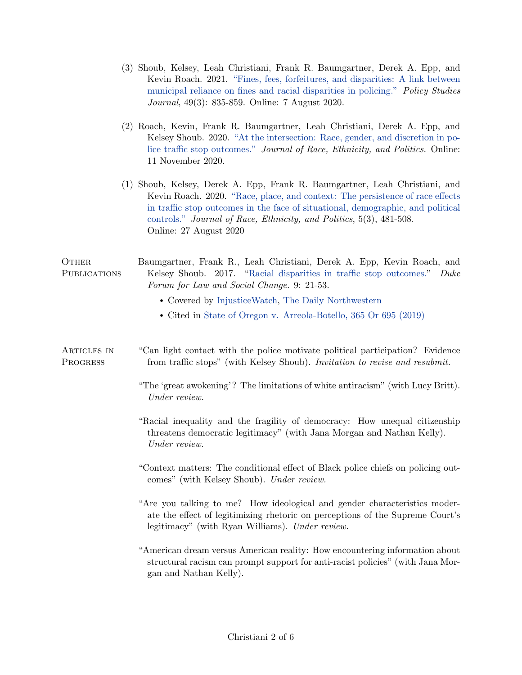|                         | (3) Shoub, Kelsey, Leah Christiani, Frank R. Baumgartner, Derek A. Epp, and<br>Kevin Roach. 2021. "Fines, fees, forfeitures, and disparities: A link between<br>municipal reliance on fines and racial disparities in policing." Policy Studies<br><i>Journal</i> , 49(3): 835-859. Online: 7 August 2020.                                       |
|-------------------------|--------------------------------------------------------------------------------------------------------------------------------------------------------------------------------------------------------------------------------------------------------------------------------------------------------------------------------------------------|
|                         | (2) Roach, Kevin, Frank R. Baumgartner, Leah Christiani, Derek A. Epp, and<br>Kelsey Shoub. 2020. "At the intersection: Race, gender, and discretion in po-<br>lice traffic stop outcomes." Journal of Race, Ethnicity, and Politics. Online:<br>11 November 2020.                                                                               |
|                         | (1) Shoub, Kelsey, Derek A. Epp, Frank R. Baumgartner, Leah Christiani, and<br>Kevin Roach. 2020. "Race, place, and context: The persistence of race effects<br>in traffic stop outcomes in the face of situational, demographic, and political<br>controls." Journal of Race, Ethnicity, and Politics, 5(3), 481-508.<br>Online: 27 August 2020 |
| OTHER<br>PUBLICATIONS   | Baumgartner, Frank R., Leah Christiani, Derek A. Epp, Kevin Roach, and<br>Kelsey Shoub. 2017. "Racial disparities in traffic stop outcomes."<br>Duke<br>Forum for Law and Social Change. 9: 21-53.                                                                                                                                               |
|                         | • Covered by InjusticeWatch, The Daily Northwestern                                                                                                                                                                                                                                                                                              |
|                         | • Cited in State of Oregon v. Arreola-Botello, 365 Or 695 (2019)                                                                                                                                                                                                                                                                                 |
| ARTICLES IN<br>PROGRESS | "Can light contact with the police motivate political participation? Evidence<br>from traffic stops" (with Kelsey Shoub). <i>Invitation to revise and resubmit.</i>                                                                                                                                                                              |
|                         | "The 'great awokening'? The limitations of white antiracism" (with Lucy Britt).<br>Under review.                                                                                                                                                                                                                                                 |
|                         | "Racial inequality and the fragility of democracy: How unequal citizenship<br>threatens democratic legitimacy" (with Jana Morgan and Nathan Kelly).<br>Under review.                                                                                                                                                                             |
|                         | "Context matters: The conditional effect of Black police chiefs on policing out-<br>comes" (with Kelsey Shoub). Under review.                                                                                                                                                                                                                    |
|                         | "Are you talking to me? How ideological and gender characteristics moder-<br>ate the effect of legitimizing rhetoric on perceptions of the Supreme Court's<br>legitimacy" (with Ryan Williams). Under review.                                                                                                                                    |
|                         | "American dream versus American reality: How encountering information about<br>structural racism can prompt support for anti-racist policies" (with Jana Mor-<br>gan and Nathan Kelly).                                                                                                                                                          |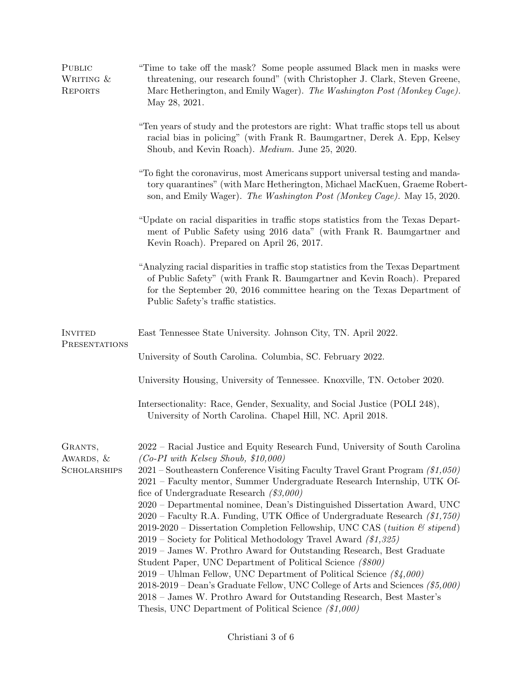| PUBLIC<br>WRITING &<br><b>REPORTS</b> | "Time to take off the mask? Some people assumed Black men in masks were<br>threatening, our research found" (with Christopher J. Clark, Steven Greene,<br>Marc Hetherington, and Emily Wager). The Washington Post (Monkey Cage).<br>May 28, 2021.                                                             |  |
|---------------------------------------|----------------------------------------------------------------------------------------------------------------------------------------------------------------------------------------------------------------------------------------------------------------------------------------------------------------|--|
|                                       | "Ten years of study and the protestors are right: What traffic stops tell us about<br>racial bias in policing" (with Frank R. Baumgartner, Derek A. Epp, Kelsey<br>Shoub, and Kevin Roach). Medium. June 25, 2020.                                                                                             |  |
|                                       | "To fight the coronavirus, most Americans support universal testing and manda-<br>tory quarantines" (with Marc Hetherington, Michael MacKuen, Graeme Robert-<br>son, and Emily Wager). The Washington Post (Monkey Cage). May 15, 2020.                                                                        |  |
|                                       | "Update on racial disparities in traffic stops statistics from the Texas Depart-<br>ment of Public Safety using 2016 data" (with Frank R. Baumgartner and<br>Kevin Roach). Prepared on April 26, 2017.                                                                                                         |  |
|                                       | "Analyzing racial disparities in traffic stop statistics from the Texas Department<br>of Public Safety" (with Frank R. Baumgartner and Kevin Roach). Prepared<br>for the September 20, 2016 committee hearing on the Texas Department of<br>Public Safety's traffic statistics.                                |  |
| <b>INVITED</b><br>PRESENTATIONS       | East Tennessee State University. Johnson City, TN. April 2022.                                                                                                                                                                                                                                                 |  |
|                                       | University of South Carolina. Columbia, SC. February 2022.                                                                                                                                                                                                                                                     |  |
|                                       | University Housing, University of Tennessee. Knoxville, TN. October 2020.                                                                                                                                                                                                                                      |  |
|                                       | Intersectionality: Race, Gender, Sexuality, and Social Justice (POLI 248),<br>University of North Carolina. Chapel Hill, NC. April 2018.                                                                                                                                                                       |  |
| GRANTS,<br>AWARDS, &                  | 2022 – Racial Justice and Equity Research Fund, University of South Carolina<br>$(Co-PI$ with Kelsey Shoub, \$10,000)                                                                                                                                                                                          |  |
| <b>SCHOLARSHIPS</b>                   | 2021 – Southeastern Conference Visiting Faculty Travel Grant Program (\$1,050)<br>2021 – Faculty mentor, Summer Undergraduate Research Internship, UTK Of-<br>fice of Undergraduate Research $(\$3,000)$                                                                                                       |  |
|                                       | 2020 – Departmental nominee, Dean's Distinguished Dissertation Award, UNC<br>$2020$ – Faculty R.A. Funding, UTK Office of Undergraduate Research $(1,750)$<br>2019-2020 – Dissertation Completion Fellowship, UNC CAS (tuition & stipend)<br>$2019$ – Society for Political Methodology Travel Award (\$1,325) |  |
|                                       | 2019 – James W. Prothro Award for Outstanding Research, Best Graduate<br>Student Paper, UNC Department of Political Science (\$800)                                                                                                                                                                            |  |
|                                       | 2019 – Uhlman Fellow, UNC Department of Political Science $(\frac{\$}{4},000)$<br>2018-2019 – Dean's Graduate Fellow, UNC College of Arts and Sciences $( $5,000)$<br>2018 – James W. Prothro Award for Outstanding Research, Best Master's<br>Thesis, UNC Department of Political Science $(\$1,000)$         |  |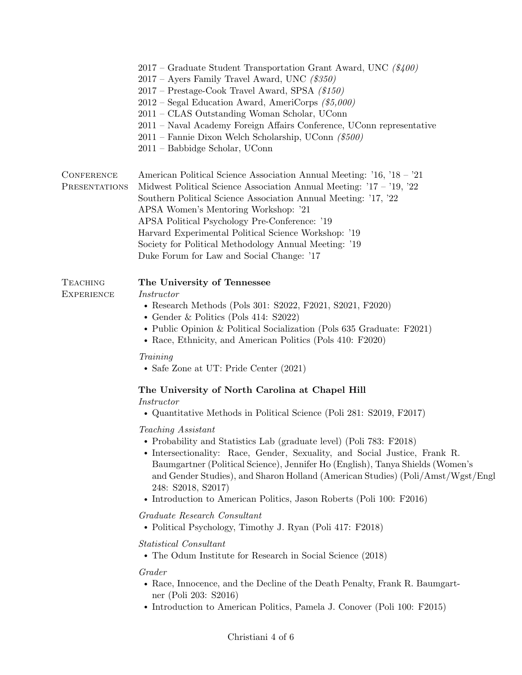|                                      | 2017 – Graduate Student Transportation Grant Award, UNC $(\frac{\$}{400})$<br>$2017$ – Ayers Family Travel Award, UNC (\$350)<br>2017 – Prestage-Cook Travel Award, SPSA (\$150)<br>$2012$ – Segal Education Award, AmeriCorps (\$5,000)<br>2011 – CLAS Outstanding Woman Scholar, UConn<br>2011 - Naval Academy Foreign Affairs Conference, UConn representative<br>$2011$ – Fannie Dixon Welch Scholarship, UConn (\$500)<br>2011 – Babbidge Scholar, UConn             |
|--------------------------------------|---------------------------------------------------------------------------------------------------------------------------------------------------------------------------------------------------------------------------------------------------------------------------------------------------------------------------------------------------------------------------------------------------------------------------------------------------------------------------|
| <b>CONFERENCE</b><br>PRESENTATIONS   | American Political Science Association Annual Meeting: '16, '18 – '21<br>Midwest Political Science Association Annual Meeting: $17 - 19$ , $22$<br>Southern Political Science Association Annual Meeting: '17, '22<br>APSA Women's Mentoring Workshop: '21<br>APSA Political Psychology Pre-Conference: '19<br>Harvard Experimental Political Science Workshop: '19<br>Society for Political Methodology Annual Meeting: '19<br>Duke Forum for Law and Social Change: '17 |
| <b>TEACHING</b><br><b>EXPERIENCE</b> | The University of Tennessee<br><i>Instructor</i><br>• Research Methods (Pols 301: S2022, F2021, S2021, F2020)<br>• Gender & Politics (Pols 414: $S2022$ )<br>• Public Opinion & Political Socialization (Pols 635 Graduate: F2021)<br>• Race, Ethnicity, and American Politics (Pols 410: F2020)<br>Training                                                                                                                                                              |
|                                      | • Safe Zone at UT: Pride Center $(2021)$<br>The University of North Carolina at Chapel Hill<br>Instructor<br>$\bullet$ Quantitative Methods in Political Science (Poli 281: S2019, F2017)                                                                                                                                                                                                                                                                                 |
|                                      | Teaching Assistant<br>• Probability and Statistics Lab (graduate level) (Poli 783: F2018)<br>• Intersectionality: Race, Gender, Sexuality, and Social Justice, Frank R.<br>Baumgartner (Political Science), Jennifer Ho (English), Tanya Shields (Women's<br>and Gender Studies), and Sharon Holland (American Studies) (Poli/Amst/Wgst/Engl<br>248: S2018, S2017)<br>• Introduction to American Politics, Jason Roberts (Poli 100: F2016)                                |
|                                      | Graduate Research Consultant<br>• Political Psychology, Timothy J. Ryan (Poli 417: F2018)                                                                                                                                                                                                                                                                                                                                                                                 |
|                                      | Statistical Consultant<br>• The Odum Institute for Research in Social Science (2018)                                                                                                                                                                                                                                                                                                                                                                                      |
|                                      | Grader<br>• Race, Innocence, and the Decline of the Death Penalty, Frank R. Baumgart-<br>ner (Poli 203: S2016)<br>• Introduction to American Politics, Pamela J. Conover (Poli 100: F2015)                                                                                                                                                                                                                                                                                |
|                                      |                                                                                                                                                                                                                                                                                                                                                                                                                                                                           |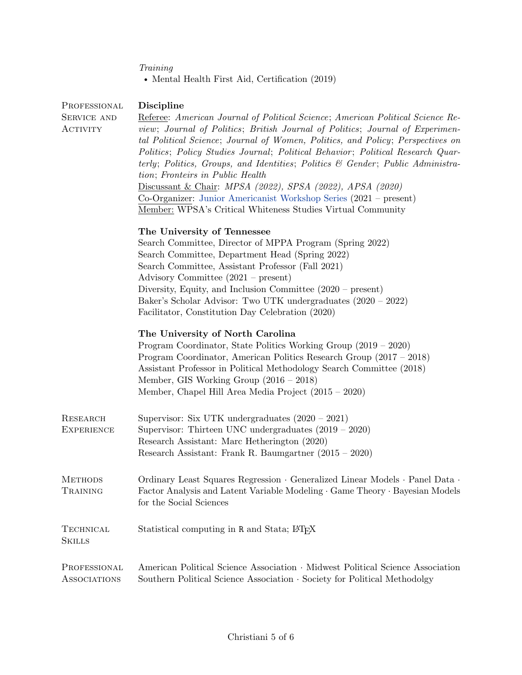|  | Training |
|--|----------|
|  |          |
|  |          |

- Mental Health First Aid, Certification  $\left( 2019\right)$ 

| PROFESSIONAL<br><b>SERVICE AND</b>   | <b>Discipline</b><br>Referee: American Journal of Political Science; American Political Science Re-                                                                                                                                                                                                                                                                                                                                                                                                                                                                      |  |
|--------------------------------------|--------------------------------------------------------------------------------------------------------------------------------------------------------------------------------------------------------------------------------------------------------------------------------------------------------------------------------------------------------------------------------------------------------------------------------------------------------------------------------------------------------------------------------------------------------------------------|--|
| <b>ACTIVITY</b>                      | view; Journal of Politics; British Journal of Politics; Journal of Experimen-<br>tal Political Science; Journal of Women, Politics, and Policy; Perspectives on<br>Politics; Policy Studies Journal; Political Behavior; Political Research Quar-<br>terly; Politics, Groups, and Identities; Politics & Gender; Public Administra-<br>tion; Fronteirs in Public Health<br>Discussant & Chair: MPSA (2022), SPSA (2022), APSA (2020)<br>Co-Organizer: Junior Americanist Workshop Series (2021 – present)<br>Member: WPSA's Critical Whiteness Studies Virtual Community |  |
|                                      | The University of Tennessee                                                                                                                                                                                                                                                                                                                                                                                                                                                                                                                                              |  |
|                                      | Search Committee, Director of MPPA Program (Spring 2022)<br>Search Committee, Department Head (Spring 2022)                                                                                                                                                                                                                                                                                                                                                                                                                                                              |  |
|                                      | Search Committee, Assistant Professor (Fall 2021)                                                                                                                                                                                                                                                                                                                                                                                                                                                                                                                        |  |
|                                      | Advisory Committee $(2021 - present)$                                                                                                                                                                                                                                                                                                                                                                                                                                                                                                                                    |  |
|                                      | Diversity, Equity, and Inclusion Committee $(2020 - present)$                                                                                                                                                                                                                                                                                                                                                                                                                                                                                                            |  |
|                                      | Baker's Scholar Advisor: Two UTK undergraduates (2020 – 2022)<br>Facilitator, Constitution Day Celebration (2020)                                                                                                                                                                                                                                                                                                                                                                                                                                                        |  |
|                                      | The University of North Carolina<br>Program Coordinator, State Politics Working Group (2019 – 2020)<br>Program Coordinator, American Politics Research Group $(2017 - 2018)$<br>Assistant Professor in Political Methodology Search Committee (2018)<br>Member, GIS Working Group $(2016 - 2018)$<br>Member, Chapel Hill Area Media Project (2015 – 2020)                                                                                                                                                                                                                |  |
| <b>RESEARCH</b><br><b>EXPERIENCE</b> | Supervisor: Six UTK undergraduates $(2020 - 2021)$<br>Supervisor: Thirteen UNC undergraduates $(2019 - 2020)$                                                                                                                                                                                                                                                                                                                                                                                                                                                            |  |
|                                      | Research Assistant: Marc Hetherington (2020)<br>Research Assistant: Frank R. Baumgartner $(2015 - 2020)$                                                                                                                                                                                                                                                                                                                                                                                                                                                                 |  |
| <b>METHODS</b>                       | Ordinary Least Squares Regression $\cdot$ Generalized Linear Models $\cdot$ Panel Data $\cdot$                                                                                                                                                                                                                                                                                                                                                                                                                                                                           |  |
| TRAINING                             | Factor Analysis and Latent Variable Modeling · Game Theory · Bayesian Models<br>for the Social Sciences                                                                                                                                                                                                                                                                                                                                                                                                                                                                  |  |
| <b>TECHNICAL</b><br><b>SKILLS</b>    | Statistical computing in R and Stata; LATFX                                                                                                                                                                                                                                                                                                                                                                                                                                                                                                                              |  |
| PROFESSIONAL<br><b>ASSOCIATIONS</b>  | American Political Science Association · Midwest Political Science Association<br>Southern Political Science Association · Society for Political Methodolgy                                                                                                                                                                                                                                                                                                                                                                                                              |  |